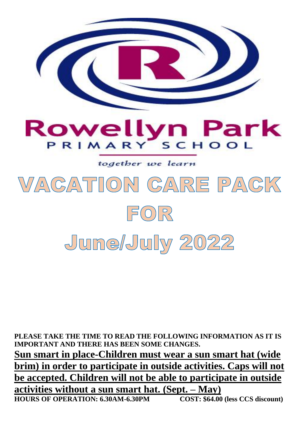

**PLEASE TAKE THE TIME TO READ THE FOLLOWING INFORMATION AS IT IS IMPORTANT AND THERE HAS BEEN SOME CHANGES. Sun smart in place-Children must wear a sun smart hat (wide brim) in order to participate in outside activities. Caps will not be accepted. Children will not be able to participate in outside activities without a sun smart hat. (Sept. – May) HOURS OF OPERATION: 6.30AM-6.30PM COST: \$64.00 (less CCS discount)**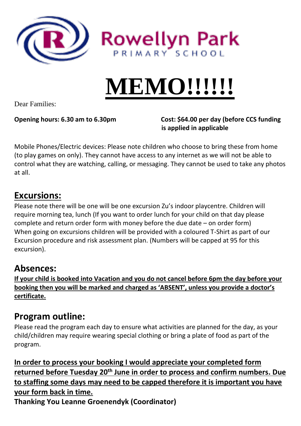

# **MEMO!!!!!!**

Dear Families:

**Opening hours: 6.30 am to 6.30pm Cost: \$64.00 per day (before CCS funding is applied in applicable**

Mobile Phones/Electric devices: Please note children who choose to bring these from home (to play games on only). They cannot have access to any internet as we will not be able to control what they are watching, calling, or messaging. They cannot be used to take any photos at all.

### **Excursions:**

Please note there will be one will be one excursion Zu's indoor playcentre. Children will require morning tea, lunch (If you want to order lunch for your child on that day please complete and return order form with money before the due date – on order form) When going on excursions children will be provided with a coloured T-Shirt as part of our Excursion procedure and risk assessment plan. (Numbers will be capped at 95 for this excursion).

### **Absences:**

**If your child is booked into Vacation and you do not cancel before 6pm the day before your booking then you will be marked and charged as 'ABSENT', unless you provide a doctor's certificate.** 

### **Program outline:**

Please read the program each day to ensure what activities are planned for the day, as your child/children may require wearing special clothing or bring a plate of food as part of the program.

**In order to process your booking I would appreciate your completed form returned before Tuesday 20th June in order to process and confirm numbers. Due to staffing some days may need to be capped therefore it is important you have your form back in time.** 

**Thanking You Leanne Groenendyk (Coordinator)**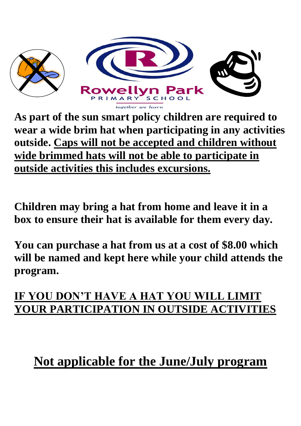

**As part of the sun smart policy children are required to wear a wide brim hat when participating in any activities outside. Caps will not be accepted and children without wide brimmed hats will not be able to participate in outside activities this includes excursions.** 

**Children may bring a hat from home and leave it in a box to ensure their hat is available for them every day.** 

**You can purchase a hat from us at a cost of \$8.00 which will be named and kept here while your child attends the program.** 

### **IF YOU DON'T HAVE A HAT YOU WILL LIMIT YOUR PARTICIPATION IN OUTSIDE ACTIVITIES**

## **Not applicable for the June/July program**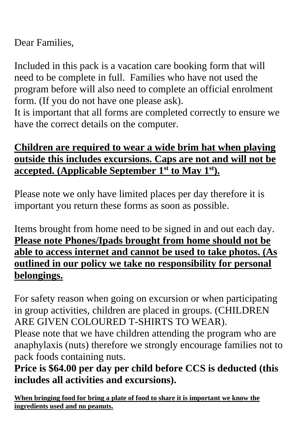Dear Families,

Included in this pack is a vacation care booking form that will need to be complete in full. Families who have not used the program before will also need to complete an official enrolment form. (If you do not have one please ask).

It is important that all forms are completed correctly to ensure we have the correct details on the computer.

### **Children are required to wear a wide brim hat when playing outside this includes excursions. Caps are not and will not be accepted. (Applicable September 1st to May 1st).**

Please note we only have limited places per day therefore it is important you return these forms as soon as possible.

Items brought from home need to be signed in and out each day. **Please note Phones/Ipads brought from home should not be able to access internet and cannot be used to take photos. (As outlined in our policy we take no responsibility for personal belongings.** 

For safety reason when going on excursion or when participating in group activities, children are placed in groups. (CHILDREN ARE GIVEN COLOURED T-SHIRTS TO WEAR).

Please note that we have children attending the program who are anaphylaxis (nuts) therefore we strongly encourage families not to pack foods containing nuts.

**Price is \$64.00 per day per child before CCS is deducted (this includes all activities and excursions).**

**When bringing food for bring a plate of food to share it is important we know the ingredients used and no peanuts.**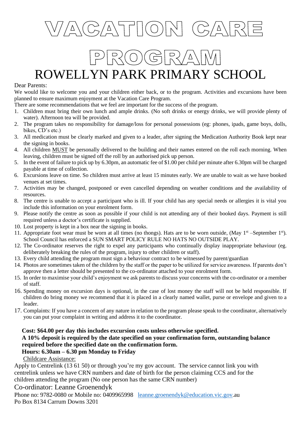

### ROWELLYN PARK PRIMARY SCHOOL

#### Dear Parents:

We would like to welcome you and your children either back, or to the program. Activities and excursions have been planned to ensure maximum enjoyment at the Vacation Care Program.

- There are some recommendations that we feel are important for the success of the program.
- 1. Children must bring their own lunch and ample drinks. (No soft drinks or energy drinks, we will provide plenty of water). Afternoon tea will be provided.
- 2. The program takes no responsibility for damage/loss for personal possessions (eg: phones, ipads, game boys, dolls, bikes, CD's etc.)
- 3. All medication must be clearly marked and given to a leader, after signing the Medication Authority Book kept near the signing in books.
- 4. All children MUST be personally delivered to the building and their names entered on the roll each morning. When leaving, children must be signed off the roll by an authorised pick up person.
- 5. In the event of failure to pick up by 6.30pm, an automatic fee of \$1.00 per child per minute after 6.30pm will be charged payable at time of collection.
- 6. Excursions leave on time. So children must arrive at least 15 minutes early. We are unable to wait as we have booked venues at set times.
- 7. Activities may be changed, postponed or even cancelled depending on weather conditions and the availability of resources.
- 8. The centre is unable to accept a participant who is ill. If your child has any special needs or allergies it is vital you include this information on your enrolment form.
- 9. Please notify the centre as soon as possible if your child is not attending any of their booked days. Payment is still required unless a doctor's certificate is supplied.
- 10. Lost property is kept in a box near the signing in books.
- 11. Appropriate foot wear must be worn at all times (no thongs). Hats are to be worn outside, (May  $1<sup>st</sup>$  –September  $1<sup>st</sup>$ ). School Council has enforced a SUN SMART POLICY RULE NO HATS NO OUTSIDE PLAY.
- 12. The Co-ordinator reserves the right to expel any participants who continually display inappropriate behaviour (eg. deliberately breaking the rules of the program, injury to other children or staff).
- 13. Every child attending the program must sign a behaviour contract to be witnessed by parent/guardian
- 14. Photos are sometimes taken of the children by the staff or the paper to be utilized for service awareness. If parents don't approve then a letter should be presented to the co-ordinator attached to your enrolment form.
- 15. In order to maximise your child's enjoyment we ask parents to discuss your concerns with the co-ordinator or a member of staff.
- 16. Spending money on excursion days is optional, in the case of lost money the staff will not be held responsible. If children do bring money we recommend that it is placed in a clearly named wallet, purse or envelope and given to a leader.
- 17. Complaints: If you have a concern of any nature in relation to the program please speak to the coordinator, alternatively you can put your complaint in writing and address it to the coordinator.

#### **Cost: \$64.00 per day this includes excursion costs unless otherwise specified. A 10% deposit is required by the date specified on your confirmation form, outstanding balance required before the specified date on the confirmation form. Hours: 6.30am – 6.30 pm Monday to Friday**

Childcare Assistance:

Apply to Centrelink (13 61 50) or through you're my gov account. The service cannot link you with centrelink unless we have CRN numbers and date of birth for the person claiming CCS and for the children attending the program (No one person has the same CRN number)

Co-ordinator: Leanne Groenendyk

Phone no: 9782-0080 or Mobile no: 0409965998 [leanne.groenendyk@education.vic.gov.](mailto:leanne.groenendyk@education.vic.gov)au Po Box 8134 Carrum Downs 3201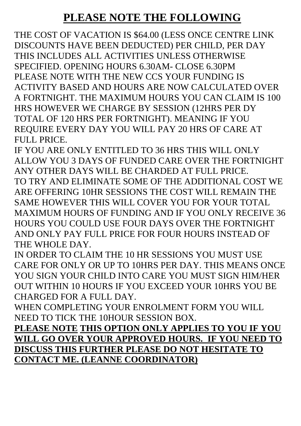### **PLEASE NOTE THE FOLLOWING**

THE COST OF VACATION IS \$64.00 (LESS ONCE CENTRE LINK DISCOUNTS HAVE BEEN DEDUCTED) PER CHILD, PER DAY THIS INCLUDES ALL ACTIVITIES UNLESS OTHERWISE SPECIFIED. OPENING HOURS 6.30AM- CLOSE 6.30PM PLEASE NOTE WITH THE NEW CCS YOUR FUNDING IS ACTIVITY BASED AND HOURS ARE NOW CALCULATED OVER A FORTNIGHT. THE MAXIMUM HOURS YOU CAN CLAIM IS 100 HRS HOWEVER WE CHARGE BY SESSION (12HRS PER DY TOTAL OF 120 HRS PER FORTNIGHT). MEANING IF YOU REQUIRE EVERY DAY YOU WILL PAY 20 HRS OF CARE AT FULL PRICE.

IF YOU ARE ONLY ENTITLED TO 36 HRS THIS WILL ONLY ALLOW YOU 3 DAYS OF FUNDED CARE OVER THE FORTNIGHT ANY OTHER DAYS WILL BE CHARDED AT FULL PRICE. TO TRY AND ELIMINATE SOME OF THE ADDITIONAL COST WE ARE OFFERING 10HR SESSIONS THE COST WILL REMAIN THE SAME HOWEVER THIS WILL COVER YOU FOR YOUR TOTAL MAXIMUM HOURS OF FUNDING AND IF YOU ONLY RECEIVE 36 HOURS YOU COULD USE FOUR DAYS OVER THE FORTNIGHT AND ONLY PAY FULL PRICE FOR FOUR HOURS INSTEAD OF THE WHOLE DAY.

IN ORDER TO CLAIM THE 10 HR SESSIONS YOU MUST USE CARE FOR ONLY OR UP TO 10HRS PER DAY. THIS MEANS ONCE YOU SIGN YOUR CHILD INTO CARE YOU MUST SIGN HIM/HER OUT WITHIN 10 HOURS IF YOU EXCEED YOUR 10HRS YOU BE CHARGED FOR A FULL DAY.

WHEN COMPLETING YOUR ENROLMENT FORM YOU WILL NEED TO TICK THE 10HOUR SESSION BOX.

**PLEASE NOTE THIS OPTION ONLY APPLIES TO YOU IF YOU WILL GO OVER YOUR APPROVED HOURS. IF YOU NEED TO DISCUSS THIS FURTHER PLEASE DO NOT HESITATE TO CONTACT ME. (LEANNE COORDINATOR)**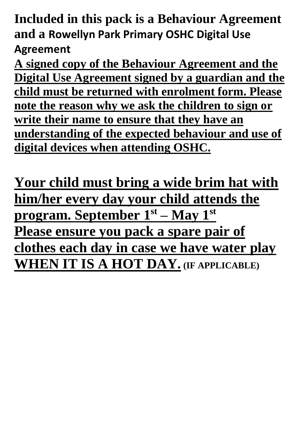**Included in this pack is a Behaviour Agreement and a Rowellyn Park Primary OSHC Digital Use Agreement**

**A signed copy of the Behaviour Agreement and the Digital Use Agreement signed by a guardian and the child must be returned with enrolment form. Please note the reason why we ask the children to sign or write their name to ensure that they have an understanding of the expected behaviour and use of digital devices when attending OSHC.** 

**Your child must bring a wide brim hat with him/her every day your child attends the program. September 1st – May 1st Please ensure you pack a spare pair of clothes each day in case we have water play WHEN IT IS A HOT DAY. (IF APPLICABLE)**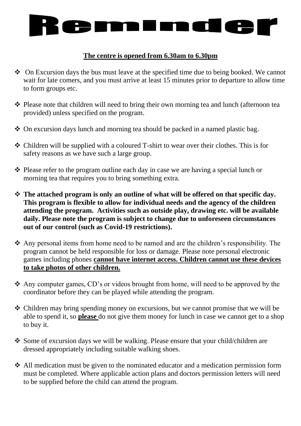

#### **The centre is opened from 6.30am to 6.30pm**

- ❖ On Excursion days the bus must leave at the specified time due to being booked. We cannot wait for late comers, and you must arrive at least 15 minutes prior to departure to allow time to form groups etc.
- ❖ Please note that children will need to bring their own morning tea and lunch (afternoon tea provided) unless specified on the program.
- ❖ On excursion days lunch and morning tea should be packed in a named plastic bag.
- ❖ Children will be supplied with a coloured T-shirt to wear over their clothes. This is for safety reasons as we have such a large group.
- ❖ Please refer to the program outline each day in case we are having a special lunch or morning tea that requires you to bring something extra.
- ❖ **The attached program is only an outline of what will be offered on that specific day. This program is flexible to allow for individual needs and the agency of the children attending the program. Activities such as outside play, drawing etc. will be available daily. Please note the program is subject to change due to unforeseen circumstances out of our control (such as Covid-19 restrictions).**
- ❖ Any personal items from home need to be named and are the children's responsibility. The program cannot be held responsible for loss or damage. Please note personal electronic games including phones **cannot have internet access. Children cannot use these devices to take photos of other children.**
- ❖ Any computer games, CD's or videos brought from home, will need to be approved by the coordinator before they can be played while attending the program.
- ❖ Children may bring spending money on excursions, but we cannot promise that we will be able to spend it, so **please** do not give them money for lunch in case we cannot get to a shop to buy it.
- ❖ Some of excursion days we will be walking. Please ensure that your child/children are dressed appropriately including suitable walking shoes.
- ❖ All medication must be given to the nominated educator and a medication permission form must be completed. Where applicable action plans and doctors permission letters will need to be supplied before the child can attend the program.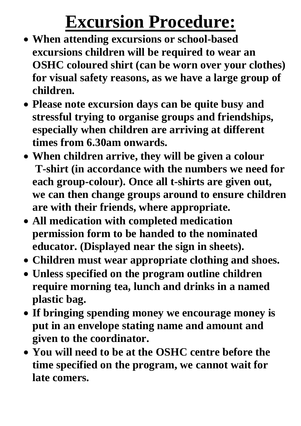## **Excursion Procedure:**

- **When attending excursions or school-based excursions children will be required to wear an OSHC coloured shirt (can be worn over your clothes) for visual safety reasons, as we have a large group of children.**
- **Please note excursion days can be quite busy and stressful trying to organise groups and friendships, especially when children are arriving at different times from 6.30am onwards.**
- **When children arrive, they will be given a colour T-shirt (in accordance with the numbers we need for each group-colour). Once all t-shirts are given out, we can then change groups around to ensure children are with their friends, where appropriate.**
- **All medication with completed medication permission form to be handed to the nominated educator. (Displayed near the sign in sheets).**
- **Children must wear appropriate clothing and shoes.**
- **Unless specified on the program outline children require morning tea, lunch and drinks in a named plastic bag.**
- **If bringing spending money we encourage money is put in an envelope stating name and amount and given to the coordinator.**
- **You will need to be at the OSHC centre before the time specified on the program, we cannot wait for late comers.**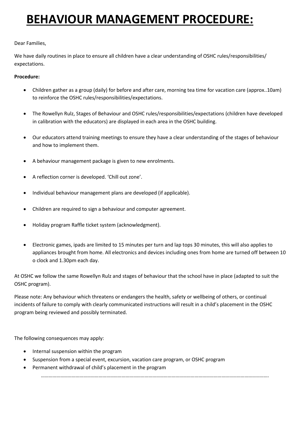### **BEHAVIOUR MANAGEMENT PROCEDURE:**

#### Dear Families,

We have daily routines in place to ensure all children have a clear understanding of OSHC rules/responsibilities/ expectations.

#### **Procedure:**

- Children gather as a group (daily) for before and after care, morning tea time for vacation care (approx..10am) to reinforce the OSHC rules/responsibilities/expectations.
- The Rowellyn Rulz, Stages of Behaviour and OSHC rules/responsibilities/expectations (children have developed in calibration with the educators) are displayed in each area in the OSHC building.
- Our educators attend training meetings to ensure they have a clear understanding of the stages of behaviour and how to implement them.
- A behaviour management package is given to new enrolments.
- A reflection corner is developed. 'Chill out zone'.
- Individual behaviour management plans are developed (if applicable).
- Children are required to sign a behaviour and computer agreement.
- Holiday program Raffle ticket system (acknowledgment).
- Electronic games, ipads are limited to 15 minutes per turn and lap tops 30 minutes, this will also applies to appliances brought from home. All electronics and devices including ones from home are turned off between 10 o clock and 1.30pm each day.

At OSHC we follow the same Rowellyn Rulz and stages of behaviour that the school have in place (adapted to suit the OSHC program).

Please note: Any behaviour which threatens or endangers the health, safety or wellbeing of others, or continual incidents of failure to comply with clearly communicated instructions will result in a child's placement in the OSHC program being reviewed and possibly terminated.

The following consequences may apply:

- Internal suspension within the program
- Suspension from a special event, excursion, vacation care program, or OSHC program
- Permanent withdrawal of child's placement in the program

…………………………………………………………………………………………………………………………………………………………….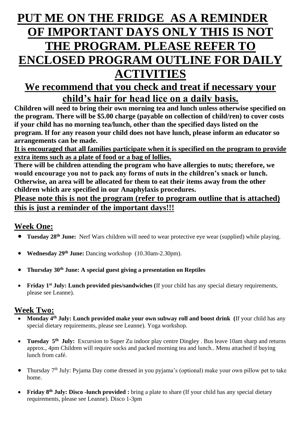### **PUT ME ON THE FRIDGE AS A REMINDER OF IMPORTANT DAYS ONLY THIS IS NOT THE PROGRAM. PLEASE REFER TO ENCLOSED PROGRAM OUTLINE FOR DAILY ACTIVITIES**

### **We recommend that you check and treat if necessary your child's hair for head lice on a daily basis.**

**Children will need to bring their own morning tea and lunch unless otherwise specified on the program. There will be \$5.00 charge (payable on collection of child/ren) to cover costs if your child has no morning tea/lunch, other than the specified days listed on the program. If for any reason your child does not have lunch, please inform an educator so arrangements can be made.**

**It is encouraged that all families participate when it is specified on the program to provide extra items such as a plate of food or a bag of lollies.**

**There will be children attending the program who have allergies to nuts; therefore, we would encourage you not to pack any forms of nuts in the children's snack or lunch. Otherwise, an area will be allocated for them to eat their items away from the other children which are specified in our Anaphylaxis procedures.**

#### **Please note this is not the program (refer to program outline that is attached) this is just a reminder of the important days!!!**

### **Week One:**

- **Tuesday 28<sup>th</sup> June:** Nerf Wars children will need to wear protective eye wear (supplied) while playing.
- **Wednesday 29th June:** Dancing workshop (10.30am-2.30pm).
- **Thursday 30th June: A special guest giving a presentation on Reptiles**
- **Friday 1 st July: Lunch provided pies/sandwiches (**If your child has any special dietary requirements, please see Leanne).

#### **Week Two:**

- Monday 4<sup>th</sup> July: Lunch provided make your own subway roll and boost drink (If your child has any special dietary requirements, please see Leanne). Yoga workshop.
- **Tuesday 5<sup>th</sup> July:** Excursion to Super Zu indoor play centre Dingley . Bus leave 10am sharp and returns approx., 4pm Children will require socks and packed morning tea and lunch.. Menu attached if buying lunch from café.
- Thursday 7th July: Pyjama Day come dressed in you pyjama's (optional) make your own pillow pet to take home.
- **Friday 8<sup>th</sup> July: Disco -lunch provided :** bring a plate to share (If your child has any special dietary requirements, please see Leanne). Disco 1-3pm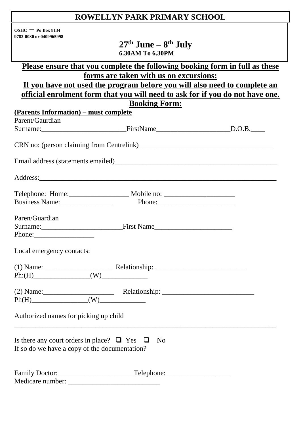### **ROWELLYN PARK PRIMARY SCHOOL**

| $OSHC = Po$ Box 8134    |
|-------------------------|
| 9782-0080 or 0409965998 |

**27 th June – 8 th July 6.30AM To 6.30PM**

| <u>Please ensure that you complete the following booking form in full as these</u>                        |                                                                               |  |  |
|-----------------------------------------------------------------------------------------------------------|-------------------------------------------------------------------------------|--|--|
|                                                                                                           | forms are taken with us on excursions:                                        |  |  |
|                                                                                                           | If you have not used the program before you will also need to complete an     |  |  |
|                                                                                                           | official enrolment form that you will need to ask for if you do not have one. |  |  |
|                                                                                                           | <b>Booking Form:</b>                                                          |  |  |
| (Parents Information) – must complete                                                                     |                                                                               |  |  |
| Parent/Gaurdian                                                                                           |                                                                               |  |  |
| Surname: D.O.B. PirstName BirstName D.O.B.                                                                |                                                                               |  |  |
| CRN no: (person claiming from Centrelink)                                                                 |                                                                               |  |  |
|                                                                                                           |                                                                               |  |  |
|                                                                                                           |                                                                               |  |  |
|                                                                                                           |                                                                               |  |  |
| Business Name:                                                                                            |                                                                               |  |  |
|                                                                                                           |                                                                               |  |  |
| Paren/Guardian                                                                                            |                                                                               |  |  |
|                                                                                                           |                                                                               |  |  |
|                                                                                                           |                                                                               |  |  |
| Local emergency contacts:                                                                                 |                                                                               |  |  |
|                                                                                                           |                                                                               |  |  |
| $Ph:(H)$ (W) (W)                                                                                          |                                                                               |  |  |
|                                                                                                           |                                                                               |  |  |
| (2) Name: $\qquad \qquad$ Relationship: $\qquad \qquad$ Relationship: $\qquad \qquad$ Ph(H)               |                                                                               |  |  |
|                                                                                                           |                                                                               |  |  |
| Authorized names for picking up child                                                                     |                                                                               |  |  |
| Is there any court orders in place? $\Box$ Yes $\Box$ No<br>If so do we have a copy of the documentation? |                                                                               |  |  |
|                                                                                                           |                                                                               |  |  |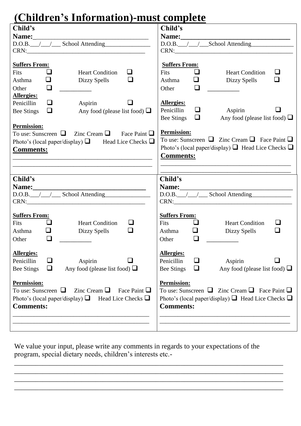### **(Children's Information)-must complete**

| <u>U iliulele s filioi mation phiust complete</u>                                                                                                                                                                                                                                                                                                                                                             |  |  |
|---------------------------------------------------------------------------------------------------------------------------------------------------------------------------------------------------------------------------------------------------------------------------------------------------------------------------------------------------------------------------------------------------------------|--|--|
| Child's                                                                                                                                                                                                                                                                                                                                                                                                       |  |  |
|                                                                                                                                                                                                                                                                                                                                                                                                               |  |  |
| D.O.B. / / School Attending                                                                                                                                                                                                                                                                                                                                                                                   |  |  |
|                                                                                                                                                                                                                                                                                                                                                                                                               |  |  |
| <b>Suffers From:</b><br>$\Box$<br>Fits<br><b>Heart Condition</b><br>❏<br>⊔<br>Dizzy Spells<br>Asthma<br>❏<br>Other<br><b>Allergies:</b><br>Aspirin<br>Penicillin<br>u<br>$\Box$<br>Any food (please list food) $\Box$<br>Bee Stings<br><b>Permission:</b><br>To use: Sunscreen $\Box$ Zinc Cream $\Box$ Face Paint $\Box$<br>Photo's (local paper/display) $\Box$ Head Lice Checks $\Box$<br><b>Comments:</b> |  |  |
| <u> 1989 - Johann Barn, amerikan berkema dan berkema dalam berkema dalam berkema dalam berkema dalam berkema dala</u>                                                                                                                                                                                                                                                                                         |  |  |
|                                                                                                                                                                                                                                                                                                                                                                                                               |  |  |
| Child's<br>Name: Name and the second state of the second state of the second state of the second state of the second state of the second state of the second state of the second state of the second state of the second state of the sec<br>D.O.B. / / School Attending                                                                                                                                      |  |  |
| <b>Suffers From:</b><br>$\Box$<br><b>Fits</b><br><b>Heart Condition</b><br>⊔<br>$\Box$<br>❏<br>Asthma<br>Dizzy Spells<br>$\Box$<br>Other                                                                                                                                                                                                                                                                      |  |  |
| <b>Allergies:</b><br>Penicillin<br>⊔<br>Aspirin<br>Any food (please list food) $\Box$<br><b>Bee Stings</b><br>ப                                                                                                                                                                                                                                                                                               |  |  |
| <b>Permission:</b><br>To use: Sunscreen $\Box$ Zinc Cream $\Box$ Face Paint $\Box$<br>Photo's (local paper/display) $\Box$ Head Lice Checks $\Box$<br><b>Comments:</b>                                                                                                                                                                                                                                        |  |  |
|                                                                                                                                                                                                                                                                                                                                                                                                               |  |  |

We value your input, please write any comments in regards to your expectations of the program, special dietary needs, children's interests etc.-

\_\_\_\_\_\_\_\_\_\_\_\_\_\_\_\_\_\_\_\_\_\_\_\_\_\_\_\_\_\_\_\_\_\_\_\_\_\_\_\_\_\_\_\_\_\_\_\_\_\_\_\_\_\_\_\_\_\_\_\_\_\_\_\_\_\_\_\_\_\_\_\_\_\_\_\_ \_\_\_\_\_\_\_\_\_\_\_\_\_\_\_\_\_\_\_\_\_\_\_\_\_\_\_\_\_\_\_\_\_\_\_\_\_\_\_\_\_\_\_\_\_\_\_\_\_\_\_\_\_\_\_\_\_\_\_\_\_\_\_\_\_\_\_\_\_\_\_\_\_\_\_\_ \_\_\_\_\_\_\_\_\_\_\_\_\_\_\_\_\_\_\_\_\_\_\_\_\_\_\_\_\_\_\_\_\_\_\_\_\_\_\_\_\_\_\_\_\_\_\_\_\_\_\_\_\_\_\_\_\_\_\_\_\_\_\_\_\_\_\_\_\_\_\_\_\_\_\_\_ \_\_\_\_\_\_\_\_\_\_\_\_\_\_\_\_\_\_\_\_\_\_\_\_\_\_\_\_\_\_\_\_\_\_\_\_\_\_\_\_\_\_\_\_\_\_\_\_\_\_\_\_\_\_\_\_\_\_\_\_\_\_\_\_\_\_\_\_\_\_\_\_\_\_\_\_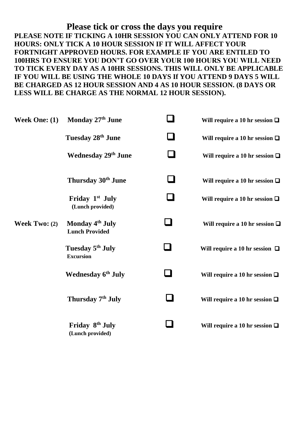**Please tick or cross the days you require PLEASE NOTE IF TICKING A 10HR SESSION YOU CAN ONLY ATTEND FOR 10 HOURS: ONLY TICK A 10 HOUR SESSION IF IT WILL AFFECT YOUR FORTNIGHT APPROVED HOURS. FOR EXAMPLE IF YOU ARE ENTILED TO 100HRS TO ENSURE YOU DON'T GO OVER YOUR 100 HOURS YOU WILL NEED TO TICK EVERY DAY AS A 10HR SESSIONS. THIS WILL ONLY BE APPLICABLE IF YOU WILL BE USING THE WHOLE 10 DAYS If YOU ATTEND 9 DAYS 5 WILL BE CHARGED AS 12 HOUR SESSION AND 4 AS 10 HOUR SESSION. (8 DAYS OR LESS WILL BE CHARGE AS THE NORMAL 12 HOUR SESSION).**

| Week One: (1)          | Monday 27th June                                     | $\mathcal{L}$ | Will require a 10 hr session $\Box$ |
|------------------------|------------------------------------------------------|---------------|-------------------------------------|
|                        | Tuesday 28 <sup>th</sup> June                        |               | Will require a 10 hr session $\Box$ |
|                        | <b>Wednesday 29th June</b>                           | $\sim$        | Will require a 10 hr session $\Box$ |
|                        | Thursday 30 <sup>th</sup> June                       | $\Box$        | Will require a 10 hr session $\Box$ |
|                        | Friday $1st$ July<br>(Lunch provided)                |               | Will require a 10 hr session $\Box$ |
| <b>Week Two:</b> $(2)$ | Monday 4 <sup>th</sup> July<br><b>Lunch Provided</b> |               | Will require a 10 hr session $\Box$ |
|                        | Tuesday 5 <sup>th</sup> July<br><b>Excursion</b>     |               | Will require a 10 hr session $\Box$ |
|                        | Wednesday 6 <sup>th</sup> July                       |               | Will require a 10 hr session $\Box$ |
|                        | Thursday 7 <sup>th</sup> July                        |               | Will require a 10 hr session $\Box$ |
|                        | Friday 8 <sup>th</sup> July<br>(Lunch provided)      |               | Will require a 10 hr session $\Box$ |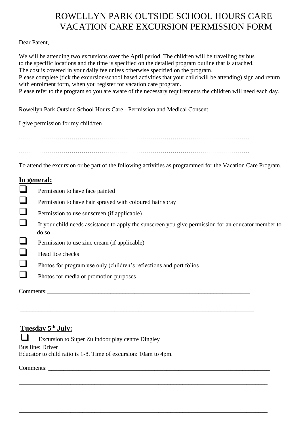### ROWELLYN PARK OUTSIDE SCHOOL HOURS CARE VACATION CARE EXCURSION PERMISSION FORM

Dear Parent,

We will be attending two excursions over the April period. The children will be travelling by bus to the specific locations and the time is specified on the detailed program outline that is attached. The cost is covered in your daily fee unless otherwise specified on the program. Please complete (tick the excursion/school based activities that your child will be attending) sign and return with enrolment form, when you register for vacation care program. Please refer to the program so you are aware of the necessary requirements the children will need each day.

--------------------------------------------------------------------------------------------------------------- Rowellyn Park Outside School Hours Care - Permission and Medical Consent

I give permission for my child/ren

……………………………………………………………………………………………………

……………………………………………………………………………………………………

To attend the excursion or be part of the following activities as programmed for the Vacation Care Program.

#### **In general:**

- **Q** Permission to have face painted
- **Q** Permission to have hair sprayed with coloured hair spray
- □ Permission to use sunscreen (if applicable)
- ❑ If your child needs assistance to apply the sunscreen you give permission for an educator member to do so

\_\_\_\_\_\_\_\_\_\_\_\_\_\_\_\_\_\_\_\_\_\_\_\_\_\_\_\_\_\_\_\_\_\_\_\_\_\_\_\_\_\_\_\_\_\_\_\_\_\_\_\_\_\_\_\_\_\_\_\_\_\_\_\_\_\_\_\_\_\_\_\_\_\_\_\_\_

\_\_\_\_\_\_\_\_\_\_\_\_\_\_\_\_\_\_\_\_\_\_\_\_\_\_\_\_\_\_\_\_\_\_\_\_\_\_\_\_\_\_\_\_\_\_\_\_\_\_\_\_\_\_\_\_\_\_\_\_\_\_\_\_\_\_\_\_\_\_\_\_\_\_\_\_\_\_\_\_\_\_

\_\_\_\_\_\_\_\_\_\_\_\_\_\_\_\_\_\_\_\_\_\_\_\_\_\_\_\_\_\_\_\_\_\_\_\_\_\_\_\_\_\_\_\_\_\_\_\_\_\_\_\_\_\_\_\_\_\_\_\_\_\_\_\_\_\_\_\_\_\_\_\_\_\_\_\_\_\_\_\_\_\_

- $\Box$  Permission to use zinc cream (if applicable)
- $\Box$  Head lice checks
- □ Photos for program use only (children's reflections and port folios
- ❑ Photos for media or promotion purposes

Comments:\_\_\_\_\_\_\_\_\_\_\_\_\_\_\_\_\_\_\_\_\_\_\_\_\_\_\_\_\_\_\_\_\_\_\_\_\_\_\_\_\_\_\_\_\_\_\_\_\_\_\_\_\_\_\_\_\_\_\_\_\_\_\_\_\_\_\_

#### **Tuesday 5th July:**

Excursion to Super Zu indoor play centre Dingley Bus line: Driver Educator to child ratio is 1-8. Time of excursion: 10am to 4pm.

Comments: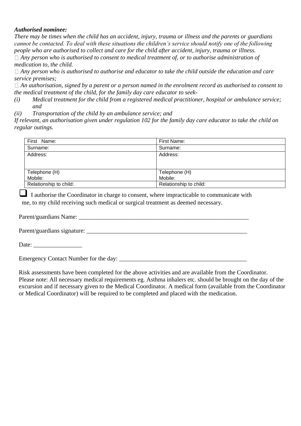#### *Authorised nominee:*

*There may be times when the child has an accident, injury, trauma or illness and the parents or guardians cannot be contacted. To deal with these situations the children's service should notify one of the following people who are authorised to collect and care for the child after accident, injury, trauma or illness. Any person who is authorised to consent to medical treatment of, or to authorise administration of medication to, the child.*

*Any person who is authorised to authorise and educator to take the child outside the education and care service premises;*

*An authorisation, signed by a parent or a person named in the enrolment record as authorised to consent to the medical treatment of the child, for the family day care educator to seek-*

*(i) Medical treatment for the child from a registered medical practitioner, hospital or ambulance service; and* 

*(ii) Transportation of the child by an ambulance service; and* 

*If relevant, an authorisation given under regulation 102 for the family day care educator to take the child on regular outings.* 

| First Name:            | First Name:            |
|------------------------|------------------------|
| Surname:               | Surname:               |
| Address:               | Address:               |
|                        |                        |
| Telephone (H)          | Telephone (H)          |
| Mobile:                | Mobile:                |
| Relationship to child: | Relationship to child: |

❑<sup>I</sup> authorise the Coordinator in charge to consent, where impracticable to communicate with me, to my child receiving such medical or surgical treatment as deemed necessary.

Parent/guardians Name:

Parent/guardians signature:

Date:

Emergency Contact Number for the day:

Risk assessments have been completed for the above activities and are available from the Coordinator. Please note: All necessary medical requirements eg. Asthma inhalers etc. should be brought on the day of the excursion and if necessary given to the Medical Coordinator. A medical form (available from the Coordinator or Medical Coordinator) will be required to be completed and placed with the medication.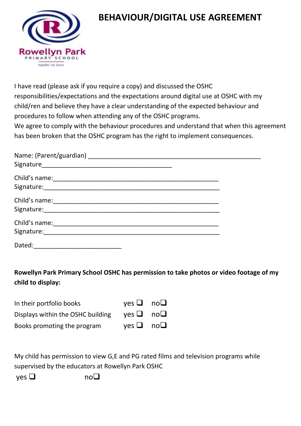

### **BEHAVIOUR/DIGITAL USE AGREEMENT**

I have read (please ask if you require a copy) and discussed the OSHC responsibilities/expectations and the expectations around digital use at OSHC with my child/ren and believe they have a clear understanding of the expected behaviour and procedures to follow when attending any of the OSHC programs.

We agree to comply with the behaviour procedures and understand that when this agreement has been broken that the OSHC program has the right to implement consequences.

| Signature: Williams and Communications and Communications and Communications and Communications and |  |
|-----------------------------------------------------------------------------------------------------|--|
|                                                                                                     |  |
| Signature: William Signature:                                                                       |  |
| Dated:                                                                                              |  |

**Rowellyn Park Primary School OSHC has permission to take photos or video footage of my child to display:**

| In their portfolio books          | yes $\Box$ no $\Box$                                             |  |
|-----------------------------------|------------------------------------------------------------------|--|
| Displays within the OSHC building | $\mathsf{ves}\,\mathsf{\square}\quad\mathsf{no}\mathsf{\square}$ |  |
| Books promoting the program       | yes $\Box$ no $\Box$                                             |  |

My child has permission to view G,E and PG rated films and television programs while supervised by the educators at Rowellyn Park OSHC

yes ❑ no❑